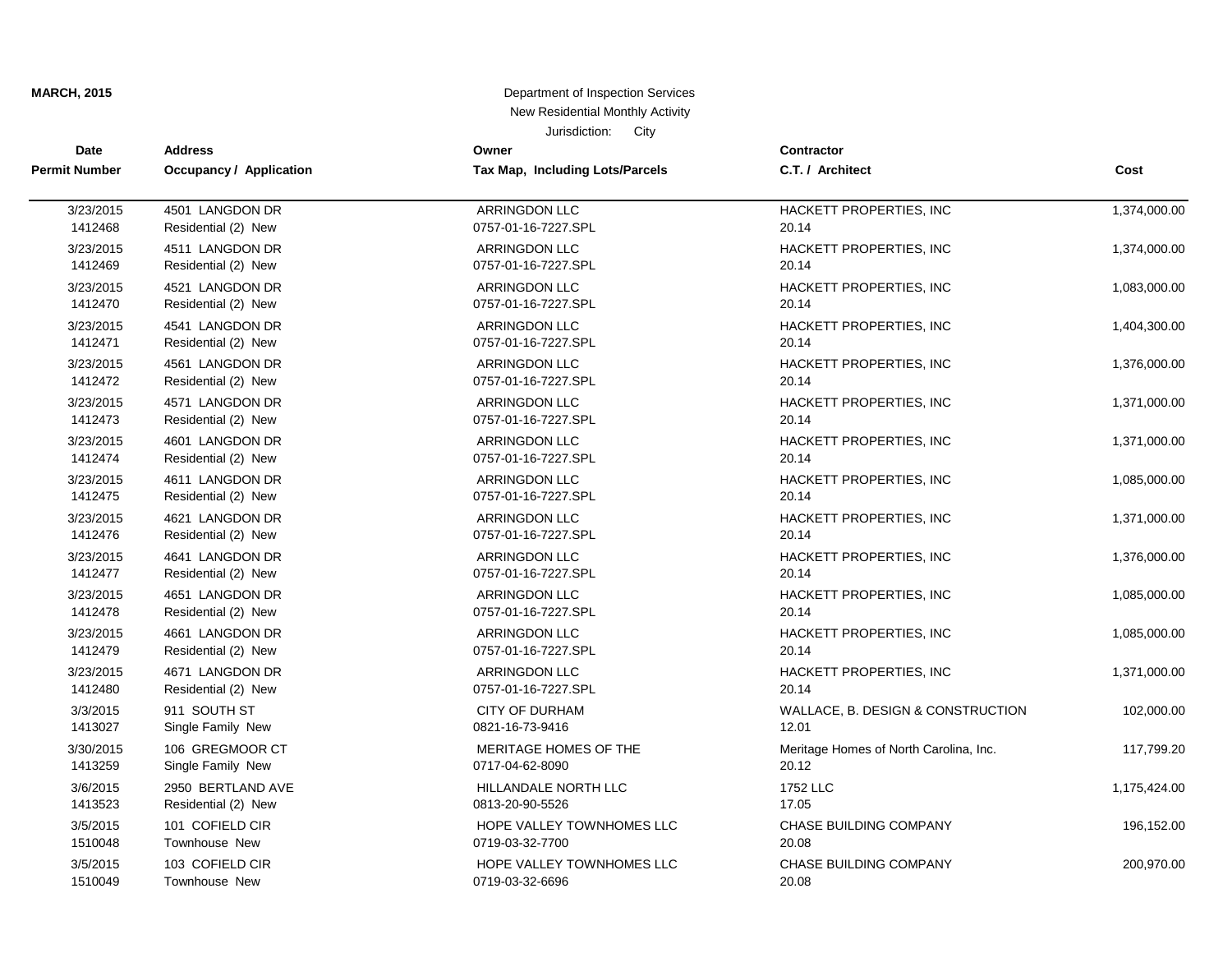| Date                 | <b>Address</b>                 | Owner                           | Contractor                             |              |
|----------------------|--------------------------------|---------------------------------|----------------------------------------|--------------|
| <b>Permit Number</b> | <b>Occupancy / Application</b> | Tax Map, Including Lots/Parcels | C.T. / Architect                       | Cost         |
| 3/23/2015            | 4501 LANGDON DR                | <b>ARRINGDON LLC</b>            | HACKETT PROPERTIES, INC                | 1,374,000.00 |
| 1412468              | Residential (2) New            | 0757-01-16-7227.SPL             | 20.14                                  |              |
| 3/23/2015            | 4511 LANGDON DR                | <b>ARRINGDON LLC</b>            | HACKETT PROPERTIES, INC                | 1,374,000.00 |
| 1412469              | Residential (2) New            | 0757-01-16-7227.SPL             | 20.14                                  |              |
| 3/23/2015            | 4521 LANGDON DR                | <b>ARRINGDON LLC</b>            | HACKETT PROPERTIES, INC                | 1,083,000.00 |
| 1412470              | Residential (2) New            | 0757-01-16-7227.SPL             | 20.14                                  |              |
| 3/23/2015            | 4541 LANGDON DR                | <b>ARRINGDON LLC</b>            | HACKETT PROPERTIES, INC                | 1,404,300.00 |
| 1412471              | Residential (2) New            | 0757-01-16-7227.SPL             | 20.14                                  |              |
| 3/23/2015            | 4561 LANGDON DR                | <b>ARRINGDON LLC</b>            | HACKETT PROPERTIES, INC                | 1,376,000.00 |
| 1412472              | Residential (2) New            | 0757-01-16-7227.SPL             | 20.14                                  |              |
| 3/23/2015            | 4571 LANGDON DR                | <b>ARRINGDON LLC</b>            | HACKETT PROPERTIES, INC.               | 1,371,000.00 |
| 1412473              | Residential (2) New            | 0757-01-16-7227.SPL             | 20.14                                  |              |
| 3/23/2015            | 4601 LANGDON DR                | <b>ARRINGDON LLC</b>            | HACKETT PROPERTIES, INC                | 1,371,000.00 |
| 1412474              | Residential (2) New            | 0757-01-16-7227.SPL             | 20.14                                  |              |
| 3/23/2015            | 4611 LANGDON DR                | ARRINGDON LLC                   | HACKETT PROPERTIES, INC.               | 1,085,000.00 |
| 1412475              | Residential (2) New            | 0757-01-16-7227.SPL             | 20.14                                  |              |
| 3/23/2015            | 4621 LANGDON DR                | <b>ARRINGDON LLC</b>            | HACKETT PROPERTIES, INC.               | 1,371,000.00 |
| 1412476              | Residential (2) New            | 0757-01-16-7227.SPL             | 20.14                                  |              |
| 3/23/2015            | 4641 LANGDON DR                | <b>ARRINGDON LLC</b>            | HACKETT PROPERTIES, INC.               | 1,376,000.00 |
| 1412477              | Residential (2) New            | 0757-01-16-7227.SPL             | 20.14                                  |              |
| 3/23/2015            | 4651 LANGDON DR                | <b>ARRINGDON LLC</b>            | HACKETT PROPERTIES, INC                | 1,085,000.00 |
| 1412478              | Residential (2) New            | 0757-01-16-7227.SPL             | 20.14                                  |              |
| 3/23/2015            | 4661 LANGDON DR                | <b>ARRINGDON LLC</b>            | HACKETT PROPERTIES, INC                | 1,085,000.00 |
| 1412479              | Residential (2) New            | 0757-01-16-7227.SPL             | 20.14                                  |              |
| 3/23/2015            | 4671 LANGDON DR                | <b>ARRINGDON LLC</b>            | HACKETT PROPERTIES, INC                | 1,371,000.00 |
| 1412480              | Residential (2) New            | 0757-01-16-7227.SPL             | 20.14                                  |              |
| 3/3/2015             | 911 SOUTH ST                   | <b>CITY OF DURHAM</b>           | WALLACE, B. DESIGN & CONSTRUCTION      | 102,000.00   |
| 1413027              | Single Family New              | 0821-16-73-9416                 | 12.01                                  |              |
| 3/30/2015            | 106 GREGMOOR CT                | MERITAGE HOMES OF THE           | Meritage Homes of North Carolina, Inc. | 117,799.20   |
| 1413259              | Single Family New              | 0717-04-62-8090                 | 20.12                                  |              |
| 3/6/2015             | 2950 BERTLAND AVE              | HILLANDALE NORTH LLC            | 1752 LLC                               | 1,175,424.00 |
| 1413523              | Residential (2) New            | 0813-20-90-5526                 | 17.05                                  |              |
| 3/5/2015             | 101 COFIELD CIR                | HOPE VALLEY TOWNHOMES LLC       | CHASE BUILDING COMPANY                 | 196,152.00   |
| 1510048              | Townhouse New                  | 0719-03-32-7700                 | 20.08                                  |              |
| 3/5/2015             | 103 COFIELD CIR                | HOPE VALLEY TOWNHOMES LLC       | <b>CHASE BUILDING COMPANY</b>          | 200,970.00   |
| 1510049              | Townhouse New                  | 0719-03-32-6696                 | 20.08                                  |              |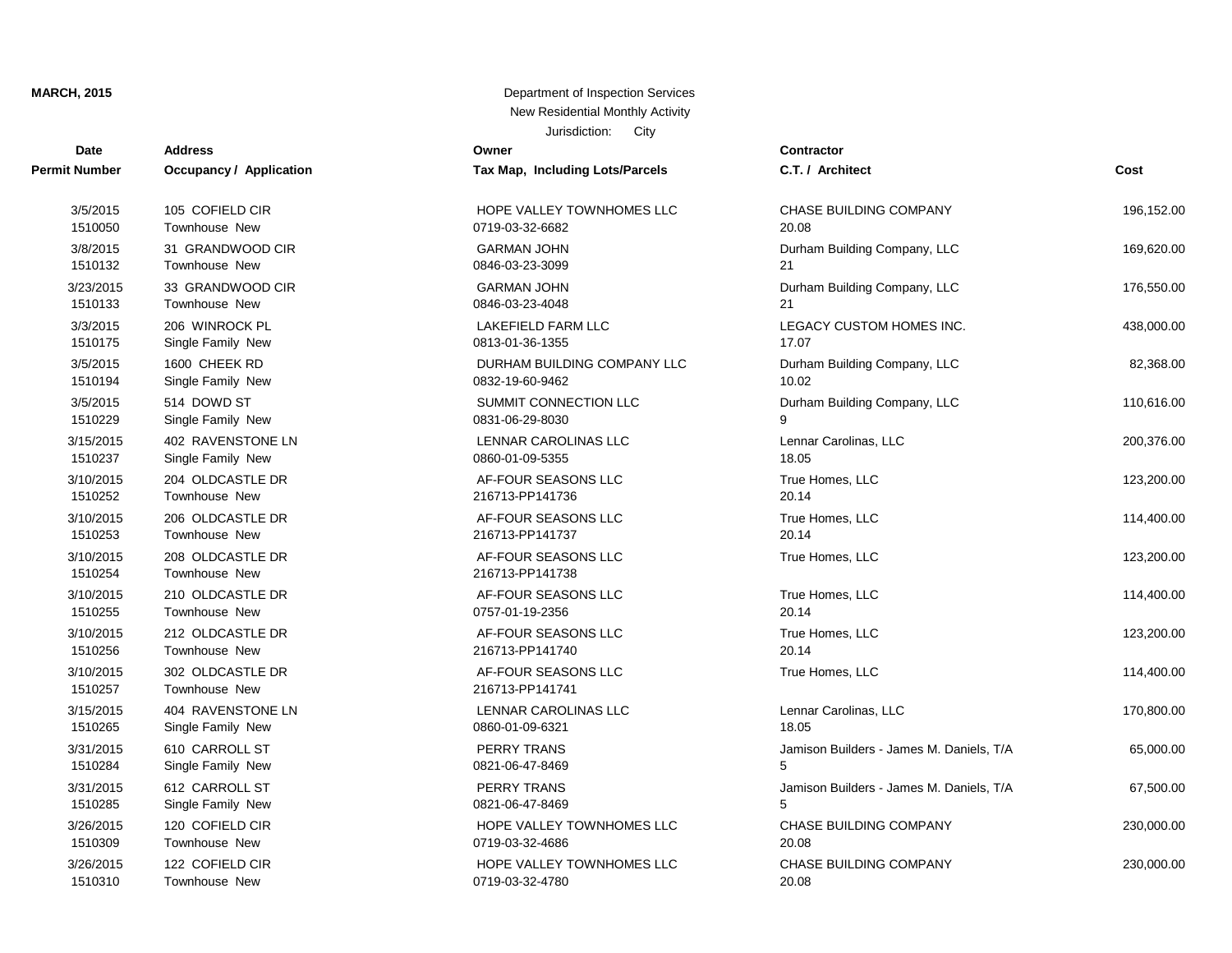# **Date Contractor Address Owner Permit Number Occupancy / Application Tax Map, Including Lots/Parcels** 1510310 Townhouse New 2012 2013 2021 2021 2022 2023 2024 2024 2022 2023 2024 2022 2023 2024 2022 2023 2024 20 1510309 Townhouse New 2008 2010 2019-03-32-4686 3/26/2015 122 COFIELD CIR **123 COFIELD CIR 123 COFIELD CIR EXAMPLE BUILDING COMPANY 230** 1510285 Single Family New 0821-06-47-8469 5 3/26/2015 120 COFIELD CIR **HOPE VALLEY TOWNHOMES LLC** 1510284 Single Family New 2012 10821-06-47-8469 1510265 Single Family New 0860-01-09-6321 1510257 Townhouse New 216713-PP141741 3/15/2015 404 RAVENSTONE LN LENNAR CAROLINAS LLC 1510256 Townhouse New 216713-PP141740 3/10/2015 302 OLDCASTLE DR AF-FOUR SEASONS LLC 1510255 Townhouse New 2012 10:00 0757-01-19-2356 3/10/2015 212 OLDCASTLE DR AF-FOUR SEASONS LLC 1510254 Townhouse New 216713-PP141738 3/10/2015 210 OLDCASTLE DR AF-FOUR SEASONS LLC 1510253 Townhouse New 216713-PP141737 3/10/2015 208 OLDCASTLE DR AF-FOUR SEASONS LLC 1510252 Townhouse New 216713-PP141736 3/10/2015 206 OLDCASTLE DR AF-FOUR SEASONS LLC 1510237 Single Family New 0860-01-09-5355 1510229 Single Family New 0831-06-29-8030 9 3/15/2015 402 RAVENSTONE LN LENNAR CAROLINAS LLC 1510194 Single Family New 100 100 100 10832-19-60-9462 3/5/2015 514 DOWD ST SUMMIT CONNECTION LLC 1510175 Single Family New 2011 1510175 0813-01-36-1355 3/5/2015 1600 CHEEK RD DURHAM BUILDING COMPANY LLC 1510133 Townhouse New 0846-03-23-4048 21 1510132 Townhouse New 200846-03-23-3099 21510132 1510050 Townhouse New 2001 2010 2010 2021 2022 2010 2010 2022 2032 2048 2010 2022 2010 2010 2010 2010 2010 20 3/5/2015 105 COFIELD CIR 100 CORPORATION CHASE BUILDING COFIELD CIR

| t Number             | Occupancy / Application           | Tax Map, Including Lots/Parcels          | C.T. / Architect                         | Cost       |
|----------------------|-----------------------------------|------------------------------------------|------------------------------------------|------------|
| 3/5/2015             | 105 COFIELD CIR                   | HOPE VALLEY TOWNHOMES LLC                | CHASE BUILDING COMPANY                   | 196,152.00 |
| 1510050              | Townhouse New                     | 0719-03-32-6682                          | 20.08                                    |            |
| 3/8/2015             | 31 GRANDWOOD CIR                  | <b>GARMAN JOHN</b>                       | Durham Building Company, LLC             | 169,620.00 |
| 1510132              | Townhouse New                     | 0846-03-23-3099                          | 21                                       |            |
| 3/23/2015            | 33 GRANDWOOD CIR                  | <b>GARMAN JOHN</b>                       | Durham Building Company, LLC             | 176,550.00 |
| 1510133              | Townhouse New                     | 0846-03-23-4048                          | 21                                       |            |
| 3/3/2015             | 206 WINROCK PL                    | <b>LAKEFIELD FARM LLC</b>                | LEGACY CUSTOM HOMES INC.                 | 438,000.00 |
| 1510175              | Single Family New                 | 0813-01-36-1355                          | 17.07                                    |            |
| 3/5/2015             | 1600 CHEEK RD                     | DURHAM BUILDING COMPANY LLC              | Durham Building Company, LLC             | 82,368.00  |
| 1510194              | Single Family New                 | 0832-19-60-9462                          | 10.02                                    |            |
| 3/5/2015<br>1510229  | 514 DOWD ST<br>Single Family New  | SUMMIT CONNECTION LLC<br>0831-06-29-8030 | Durham Building Company, LLC             | 110,616.00 |
| 3/15/2015            | 402 RAVENSTONE LN                 | LENNAR CAROLINAS LLC                     | Lennar Carolinas, LLC                    | 200,376.00 |
| 1510237              | Single Family New                 | 0860-01-09-5355                          | 18.05                                    |            |
| 3/10/2015            | 204 OLDCASTLE DR                  | AF-FOUR SEASONS LLC                      | True Homes, LLC                          | 123,200.00 |
| 1510252              | Townhouse New                     | 216713-PP141736                          | 20.14                                    |            |
| 3/10/2015            | 206 OLDCASTLE DR                  | AF-FOUR SEASONS LLC                      | True Homes, LLC                          | 114,400.00 |
| 1510253              | Townhouse New                     | 216713-PP141737                          | 20.14                                    |            |
| 3/10/2015<br>1510254 | 208 OLDCASTLE DR<br>Townhouse New | AF-FOUR SEASONS LLC<br>216713-PP141738   | True Homes, LLC                          | 123,200.00 |
| 3/10/2015            | 210 OLDCASTLE DR                  | AF-FOUR SEASONS LLC                      | True Homes, LLC                          | 114,400.00 |
| 1510255              | Townhouse New                     | 0757-01-19-2356                          | 20.14                                    |            |
| 3/10/2015            | 212 OLDCASTLE DR                  | AF-FOUR SEASONS LLC                      | True Homes, LLC                          | 123,200.00 |
| 1510256              | Townhouse New                     | 216713-PP141740                          | 20.14                                    |            |
| 3/10/2015<br>1510257 | 302 OLDCASTLE DR<br>Townhouse New | AF-FOUR SEASONS LLC<br>216713-PP141741   | True Homes, LLC                          | 114,400.00 |
| 3/15/2015            | 404 RAVENSTONE LN                 | LENNAR CAROLINAS LLC                     | Lennar Carolinas, LLC                    | 170,800.00 |
| 1510265              | Single Family New                 | 0860-01-09-6321                          | 18.05                                    |            |
| 3/31/2015            | 610 CARROLL ST                    | PERRY TRANS                              | Jamison Builders - James M. Daniels, T/A | 65,000.00  |
| 1510284              | Single Family New                 | 0821-06-47-8469                          | 5                                        |            |
| 3/31/2015            | 612 CARROLL ST                    | PERRY TRANS                              | Jamison Builders - James M. Daniels, T/A | 67,500.00  |
| 1510285              | Single Family New                 | 0821-06-47-8469                          | 5                                        |            |
| 3/26/2015            | 120 COFIELD CIR                   | HOPE VALLEY TOWNHOMES LLC                | CHASE BUILDING COMPANY                   | 230,000.00 |
| 1510309              | Townhouse New                     | 0719-03-32-4686                          | 20.08                                    |            |
| 3/26/2015            | 122 COFIELD CIR                   | HOPE VALLEY TOWNHOMES LLC                | <b>CHASE BUILDING COMPANY</b>            | 230,000.00 |
| 1510310              | Townhouse New                     | 0719-03-32-4780                          | 20.08                                    |            |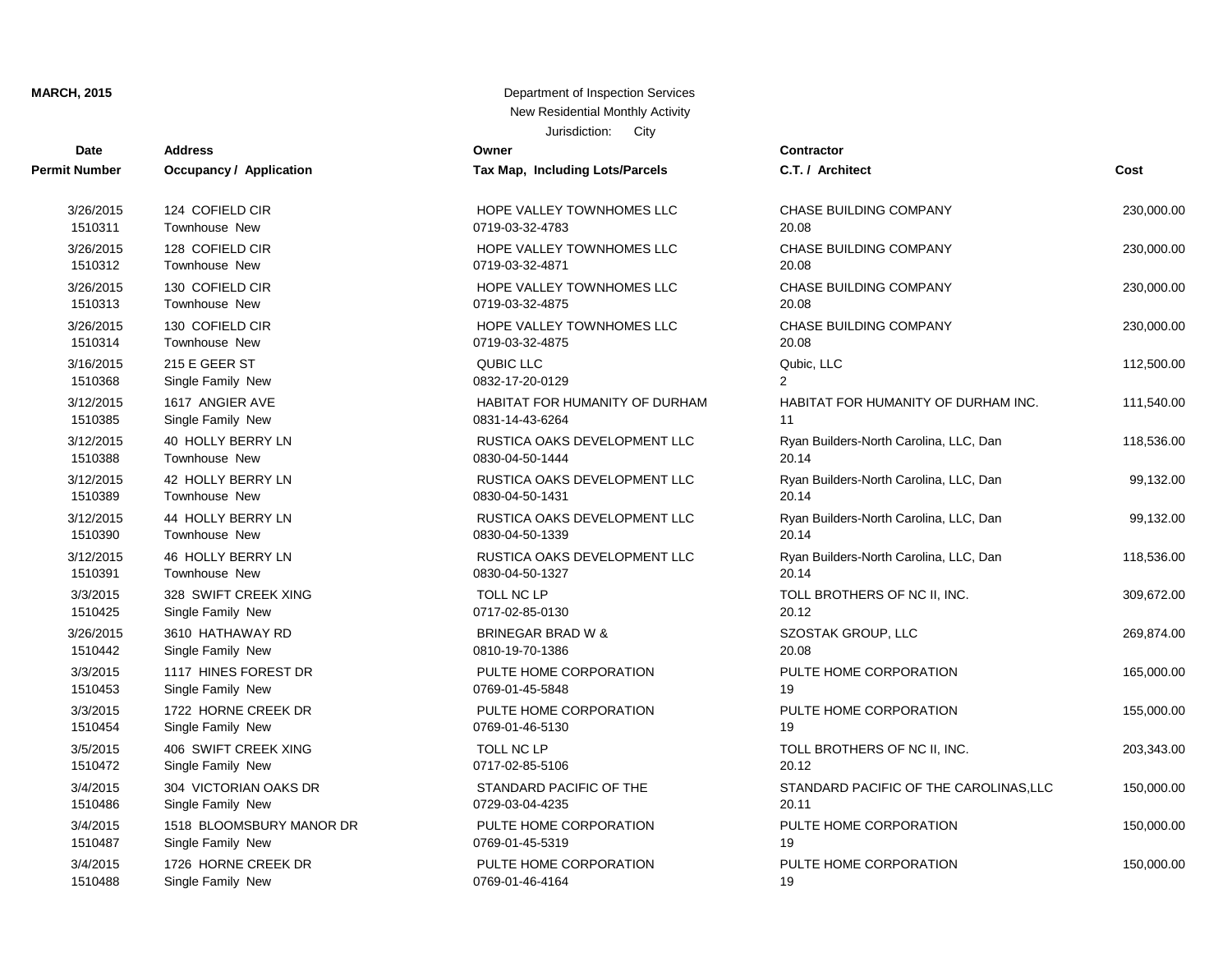| <b>Date</b>          | <b>Address</b>           | Owner                           | Contractor       |
|----------------------|--------------------------|---------------------------------|------------------|
| <b>Permit Number</b> | Occupancy / Application  | Tax Map, Including Lots/Parcels | C.T. / Arch      |
| 3/26/2015            | 124 COFIELD CIR          | HOPE VALLEY TOWNHOMES LLC       | <b>CHASE BU</b>  |
| 1510311              | Townhouse New            | 0719-03-32-4783                 | 20.08            |
| 3/26/2015            | 128 COFIELD CIR          | HOPE VALLEY TOWNHOMES LLC       | <b>CHASE BU</b>  |
| 1510312              | <b>Townhouse New</b>     | 0719-03-32-4871                 | 20.08            |
| 3/26/2015            | 130 COFIELD CIR          | HOPE VALLEY TOWNHOMES LLC       | <b>CHASE BU</b>  |
| 1510313              | <b>Townhouse New</b>     | 0719-03-32-4875                 | 20.08            |
| 3/26/2015            | 130 COFIELD CIR          | HOPE VALLEY TOWNHOMES LLC       | <b>CHASE BU</b>  |
| 1510314              | <b>Townhouse New</b>     | 0719-03-32-4875                 | 20.08            |
| 3/16/2015            | 215 E GEER ST            | <b>QUBIC LLC</b>                | Qubic, LLC       |
| 1510368              | Single Family New        | 0832-17-20-0129                 | $\overline{2}$   |
| 3/12/2015            | 1617 ANGIER AVE          | HABITAT FOR HUMANITY OF DURHAM  | <b>HABITAT F</b> |
| 1510385              | Single Family New        | 0831-14-43-6264                 | 11               |
| 3/12/2015            | 40 HOLLY BERRY LN        | RUSTICA OAKS DEVELOPMENT LLC    | Ryan Build       |
| 1510388              | Townhouse New            | 0830-04-50-1444                 | 20.14            |
| 3/12/2015            | 42 HOLLY BERRY LN        | RUSTICA OAKS DEVELOPMENT LLC    | Ryan Build       |
| 1510389              | <b>Townhouse New</b>     | 0830-04-50-1431                 | 20.14            |
| 3/12/2015            | 44 HOLLY BERRY LN        | RUSTICA OAKS DEVELOPMENT LLC    | Ryan Build       |
| 1510390              | <b>Townhouse New</b>     | 0830-04-50-1339                 | 20.14            |
| 3/12/2015            | 46 HOLLY BERRY LN        | RUSTICA OAKS DEVELOPMENT LLC    | Ryan Build       |
| 1510391              | <b>Townhouse New</b>     | 0830-04-50-1327                 | 20.14            |
| 3/3/2015             | 328 SWIFT CREEK XING     | TOLL NC LP                      | <b>TOLL BRO</b>  |
| 1510425              | Single Family New        | 0717-02-85-0130                 | 20.12            |
| 3/26/2015            | 3610 HATHAWAY RD         | <b>BRINEGAR BRAD W &amp;</b>    | <b>SZOSTAK</b>   |
| 1510442              | Single Family New        | 0810-19-70-1386                 | 20.08            |
| 3/3/2015             | 1117 HINES FOREST DR     | PULTE HOME CORPORATION          | PULTE HO         |
| 1510453              | Single Family New        | 0769-01-45-5848                 | 19               |
| 3/3/2015             | 1722 HORNE CREEK DR      | PULTE HOME CORPORATION          | PULTE HO         |
| 1510454              | Single Family New        | 0769-01-46-5130                 | 19               |
| 3/5/2015             | 406 SWIFT CREEK XING     | TOLL NC LP                      | <b>TOLL BRO</b>  |
| 1510472              | Single Family New        | 0717-02-85-5106                 | 20.12            |
| 3/4/2015             | 304 VICTORIAN OAKS DR    | STANDARD PACIFIC OF THE         | <b>STANDARI</b>  |
| 1510486              | Single Family New        | 0729-03-04-4235                 | 20.11            |
| 3/4/2015             | 1518 BLOOMSBURY MANOR DR | PULTE HOME CORPORATION          | PULTE HO         |
| 1510487              | Single Family New        | 0769-01-45-5319                 | 19               |
| 3/4/2015             | 1726 HORNE CREEK DR      | PULTE HOME CORPORATION          | PULTE HO         |

| rax map, mcluumy Lots/r arceis               |
|----------------------------------------------|
| HOPE VALLEY TOWNHOMES LLC<br>0719-03-32-4783 |
| HOPE VALLEY TOWNHOMES LLC<br>0719-03-32-4871 |
| HOPE VALLEY TOWNHOMES LLC<br>0719-03-32-4875 |
| HOPE VALLEY TOWNHOMES LLC<br>0719-03-32-4875 |
| QUBICTEC<br>0832-17-20-0129                  |

1510488 Single Family New 2010 10 0769-01-46-4164

| t Number  | Occupancy / Application  | Tax Map, Including Lots/Parcels | C.T. / Architect                       | Cost       |
|-----------|--------------------------|---------------------------------|----------------------------------------|------------|
| 3/26/2015 | 124 COFIELD CIR          | HOPE VALLEY TOWNHOMES LLC       | CHASE BUILDING COMPANY                 | 230,000.00 |
| 1510311   | Townhouse New            | 0719-03-32-4783                 | 20.08                                  |            |
| 3/26/2015 | 128 COFIELD CIR          | HOPE VALLEY TOWNHOMES LLC       | CHASE BUILDING COMPANY                 | 230,000.00 |
| 1510312   | <b>Townhouse New</b>     | 0719-03-32-4871                 | 20.08                                  |            |
| 3/26/2015 | 130 COFIELD CIR          | HOPE VALLEY TOWNHOMES LLC       | CHASE BUILDING COMPANY                 | 230,000.00 |
| 1510313   | Townhouse New            | 0719-03-32-4875                 | 20.08                                  |            |
| 3/26/2015 | 130 COFIELD CIR          | HOPE VALLEY TOWNHOMES LLC       | CHASE BUILDING COMPANY                 | 230,000.00 |
| 1510314   | <b>Townhouse New</b>     | 0719-03-32-4875                 | 20.08                                  |            |
| 3/16/2015 | 215 E GEER ST            | <b>QUBIC LLC</b>                | Qubic, LLC                             | 112,500.00 |
| 1510368   | Single Family New        | 0832-17-20-0129                 | $\mathcal{P}$                          |            |
| 3/12/2015 | 1617 ANGIER AVE          | HABITAT FOR HUMANITY OF DURHAM  | HABITAT FOR HUMANITY OF DURHAM INC.    | 111,540.00 |
| 1510385   | Single Family New        | 0831-14-43-6264                 | 11                                     |            |
| 3/12/2015 | 40 HOLLY BERRY LN        | RUSTICA OAKS DEVELOPMENT LLC    | Ryan Builders-North Carolina, LLC, Dan | 118,536.00 |
| 1510388   | Townhouse New            | 0830-04-50-1444                 | 20.14                                  |            |
| 3/12/2015 | 42 HOLLY BERRY LN        | RUSTICA OAKS DEVELOPMENT LLC    | Ryan Builders-North Carolina, LLC, Dan | 99,132.00  |
| 1510389   | <b>Townhouse New</b>     | 0830-04-50-1431                 | 20.14                                  |            |
| 3/12/2015 | 44 HOLLY BERRY LN        | RUSTICA OAKS DEVELOPMENT LLC    | Ryan Builders-North Carolina, LLC, Dan | 99,132.00  |
| 1510390   | <b>Townhouse New</b>     | 0830-04-50-1339                 | 20.14                                  |            |
| 3/12/2015 | 46 HOLLY BERRY LN        | RUSTICA OAKS DEVELOPMENT LLC    | Ryan Builders-North Carolina, LLC, Dan | 118,536.00 |
| 1510391   | Townhouse New            | 0830-04-50-1327                 | 20.14                                  |            |
| 3/3/2015  | 328 SWIFT CREEK XING     | TOLL NC LP                      | TOLL BROTHERS OF NC II, INC.           | 309,672.00 |
| 1510425   | Single Family New        | 0717-02-85-0130                 | 20.12                                  |            |
| 3/26/2015 | 3610 HATHAWAY RD         | BRINEGAR BRAD W &               | SZOSTAK GROUP, LLC                     | 269,874.00 |
| 1510442   | Single Family New        | 0810-19-70-1386                 | 20.08                                  |            |
| 3/3/2015  | 1117 HINES FOREST DR     | PULTE HOME CORPORATION          | PULTE HOME CORPORATION                 | 165,000.00 |
| 1510453   | Single Family New        | 0769-01-45-5848                 | 19                                     |            |
| 3/3/2015  | 1722 HORNE CREEK DR      | PULTE HOME CORPORATION          | PULTE HOME CORPORATION                 | 155,000.00 |
| 1510454   | Single Family New        | 0769-01-46-5130                 | 19                                     |            |
| 3/5/2015  | 406 SWIFT CREEK XING     | TOLL NC LP                      | TOLL BROTHERS OF NC II, INC.           | 203,343.00 |
| 1510472   | Single Family New        | 0717-02-85-5106                 | 20.12                                  |            |
| 3/4/2015  | 304 VICTORIAN OAKS DR    | STANDARD PACIFIC OF THE         | STANDARD PACIFIC OF THE CAROLINAS, LLC | 150,000.00 |
| 1510486   | Single Family New        | 0729-03-04-4235                 | 20.11                                  |            |
| 3/4/2015  | 1518 BLOOMSBURY MANOR DR | PULTE HOME CORPORATION          | PULTE HOME CORPORATION                 | 150,000.00 |
| 1510487   | Single Family New        | 0769-01-45-5319                 | 19                                     |            |
| 3/4/2015  | 1726 HORNE CREEK DR      | PULTE HOME CORPORATION          | PULTE HOME CORPORATION                 | 150,000.00 |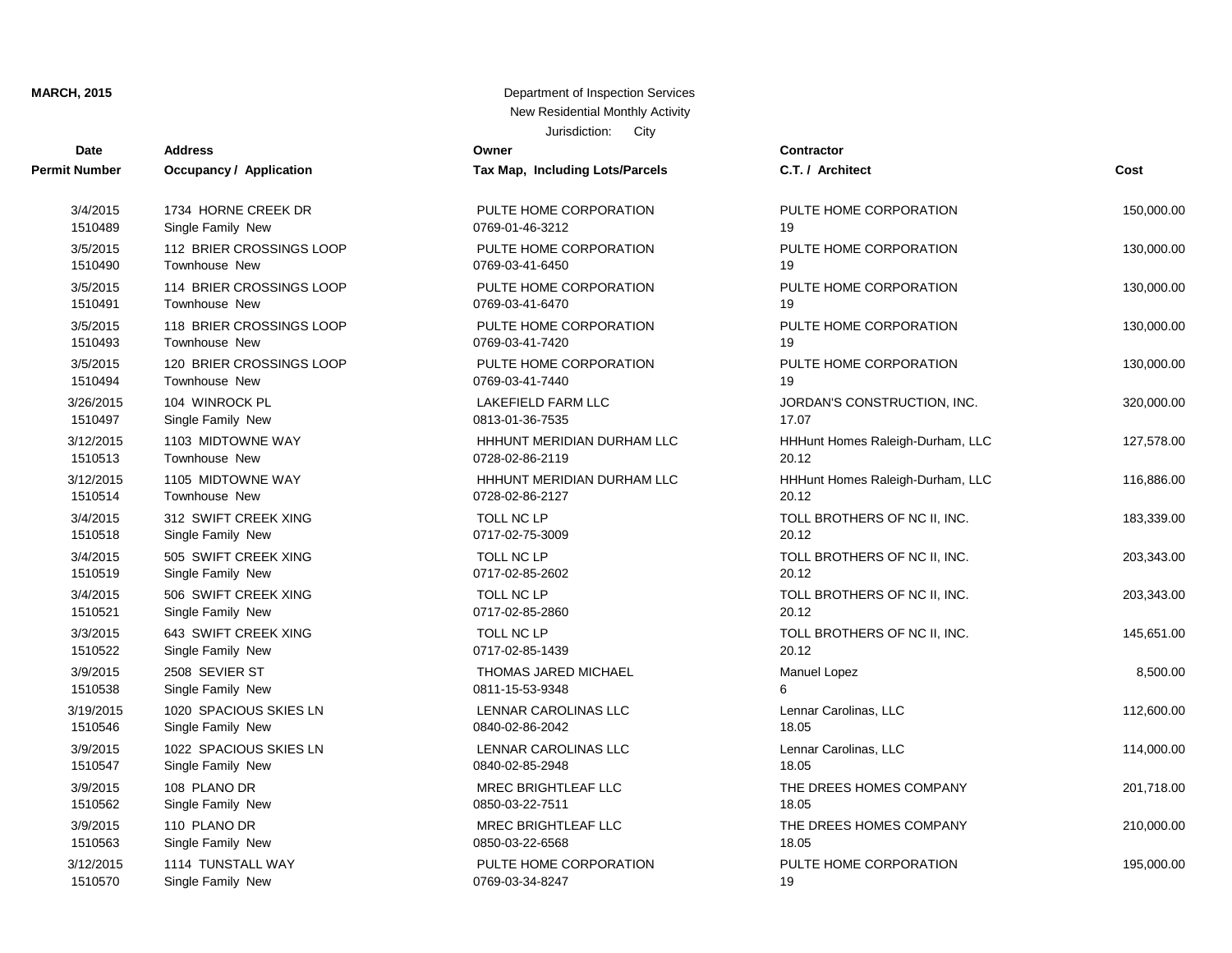| <b>Date</b>          | <b>Address</b>                 | JUISUIGUUI. GILY<br>Owner       | <b>Contractor</b>                |            |
|----------------------|--------------------------------|---------------------------------|----------------------------------|------------|
| <b>Permit Number</b> | <b>Occupancy / Application</b> | Tax Map, Including Lots/Parcels | C.T. / Architect                 | Cost       |
| 3/4/2015             | 1734 HORNE CREEK DR            | PULTE HOME CORPORATION          | PULTE HOME CORPORATION           | 150,000.00 |
| 1510489              | Single Family New              | 0769-01-46-3212                 | 19                               |            |
| 3/5/2015             | 112 BRIER CROSSINGS LOOP       | PULTE HOME CORPORATION          | PULTE HOME CORPORATION           | 130,000.00 |
| 1510490              | Townhouse New                  | 0769-03-41-6450                 | 19                               |            |
| 3/5/2015             | 114 BRIER CROSSINGS LOOP       | PULTE HOME CORPORATION          | PULTE HOME CORPORATION           | 130,000.00 |
| 1510491              | Townhouse New                  | 0769-03-41-6470                 | 19                               |            |
| 3/5/2015             | 118 BRIER CROSSINGS LOOP       | PULTE HOME CORPORATION          | PULTE HOME CORPORATION           | 130,000.00 |
| 1510493              | Townhouse New                  | 0769-03-41-7420                 | 19                               |            |
| 3/5/2015             | 120 BRIER CROSSINGS LOOP       | PULTE HOME CORPORATION          | PULTE HOME CORPORATION           | 130,000.00 |
| 1510494              | Townhouse New                  | 0769-03-41-7440                 | 19                               |            |
| 3/26/2015            | 104 WINROCK PL                 | <b>LAKEFIELD FARM LLC</b>       | JORDAN'S CONSTRUCTION, INC.      | 320,000.00 |
| 1510497              | Single Family New              | 0813-01-36-7535                 | 17.07                            |            |
| 3/12/2015            | 1103 MIDTOWNE WAY              | HHHUNT MERIDIAN DURHAM LLC      | HHHunt Homes Raleigh-Durham, LLC | 127,578.00 |
| 1510513              | Townhouse New                  | 0728-02-86-2119                 | 20.12                            |            |
| 3/12/2015            | 1105 MIDTOWNE WAY              | HHHUNT MERIDIAN DURHAM LLC      | HHHunt Homes Raleigh-Durham, LLC | 116,886.00 |
| 1510514              | Townhouse New                  | 0728-02-86-2127                 | 20.12                            |            |
| 3/4/2015             | 312 SWIFT CREEK XING           | TOLL NC LP                      | TOLL BROTHERS OF NC II, INC.     | 183,339.00 |
| 1510518              | Single Family New              | 0717-02-75-3009                 | 20.12                            |            |
| 3/4/2015             | 505 SWIFT CREEK XING           | TOLL NC LP                      | TOLL BROTHERS OF NC II, INC.     | 203,343.00 |
| 1510519              | Single Family New              | 0717-02-85-2602                 | 20.12                            |            |
| 3/4/2015             | 506 SWIFT CREEK XING           | <b>TOLL NC LP</b>               | TOLL BROTHERS OF NC II, INC.     | 203,343.00 |
| 1510521              | Single Family New              | 0717-02-85-2860                 | 20.12                            |            |
| 3/3/2015             | 643 SWIFT CREEK XING           | TOLL NC LP                      | TOLL BROTHERS OF NC II, INC.     | 145,651.00 |
| 1510522              | Single Family New              | 0717-02-85-1439                 | 20.12                            |            |
| 3/9/2015             | 2508 SEVIER ST                 | THOMAS JARED MICHAEL            | Manuel Lopez                     | 8,500.00   |
| 1510538              | Single Family New              | 0811-15-53-9348                 | 6                                |            |
| 3/19/2015            | 1020 SPACIOUS SKIES LN         | LENNAR CAROLINAS LLC            | Lennar Carolinas, LLC            | 112,600.00 |
| 1510546              | Single Family New              | 0840-02-86-2042                 | 18.05                            |            |
| 3/9/2015             | 1022 SPACIOUS SKIES LN         | LENNAR CAROLINAS LLC            | Lennar Carolinas, LLC            | 114,000.00 |
| 1510547              | Single Family New              | 0840-02-85-2948                 | 18.05                            |            |
| 3/9/2015             | 108 PLANO DR                   | <b>MREC BRIGHTLEAF LLC</b>      | THE DREES HOMES COMPANY          | 201,718.00 |
| 1510562              | Single Family New              | 0850-03-22-7511                 | 18.05                            |            |
| 3/9/2015             | 110 PLANO DR                   | <b>MREC BRIGHTLEAF LLC</b>      | THE DREES HOMES COMPANY          | 210,000.00 |
| 1510563              | Single Family New              | 0850-03-22-6568                 | 18.05                            |            |
| 3/12/2015            | 1114 TUNSTALL WAY              | PULTE HOME CORPORATION          | PULTE HOME CORPORATION           | 195,000.00 |
| 1510570              | Single Family New              | 0769-03-34-8247                 | 19                               |            |

| Map, Including Lots/Parcels              | C.T. / Architect                          | Cost       |
|------------------------------------------|-------------------------------------------|------------|
| LTE HOME CORPORATION<br>9-01-46-3212     | PULTE HOME CORPORATION<br>19              | 150,000.00 |
| LTE HOME CORPORATION<br>9-03-41-6450     | PULTE HOME CORPORATION<br>19              | 130,000.00 |
| LTE HOME CORPORATION<br>9-03-41-6470     | PULTE HOME CORPORATION<br>19              | 130,000.00 |
| LTE HOME CORPORATION<br>9-03-41-7420     | PULTE HOME CORPORATION<br>19              | 130,000.00 |
| LTE HOME CORPORATION<br>9-03-41-7440     | PULTE HOME CORPORATION<br>19              | 130,000.00 |
| <b>KEFIELD FARM LLC</b><br>3-01-36-7535  | JORDAN'S CONSTRUCTION, INC.<br>17.07      | 320,000.00 |
| HUNT MERIDIAN DURHAM LLC<br>8-02-86-2119 | HHHunt Homes Raleigh-Durham, LLC<br>20.12 | 127,578.00 |
| HUNT MERIDIAN DURHAM LLC<br>8-02-86-2127 | HHHunt Homes Raleigh-Durham, LLC<br>20.12 | 116,886.00 |
| LL NC LP<br>7-02-75-3009                 | TOLL BROTHERS OF NC II, INC.<br>20.12     | 183,339.00 |
| LL NC LP<br>7-02-85-2602                 | TOLL BROTHERS OF NC II, INC.<br>20.12     | 203,343.00 |
| LL NC LP<br>7-02-85-2860                 | TOLL BROTHERS OF NC II, INC.<br>20.12     | 203,343.00 |
| LL NC LP<br>7-02-85-1439                 | TOLL BROTHERS OF NC II, INC.<br>20.12     | 145,651.00 |
| OMAS JARED MICHAEL<br>1-15-53-9348       | Manuel Lopez<br>6                         | 8,500.00   |
| JNAR CAROLINAS LLC<br>0-02-86-2042       | Lennar Carolinas, LLC<br>18.05            | 112,600.00 |
| JNAR CAROLINAS LLC<br>0-02-85-2948       | Lennar Carolinas, LLC<br>18.05            | 114,000.00 |
| EC BRIGHTLEAF LLC<br>0-03-22-7511        | THE DREES HOMES COMPANY<br>18.05          | 201,718.00 |
| EC BRIGHTLEAF LLC<br>0-03-22-6568        | THE DREES HOMES COMPANY<br>18.05          | 210,000.00 |
| LTE HOME CORPORATION<br>9-03-34-8247     | PULTE HOME CORPORATION<br>19.             | 195,000.00 |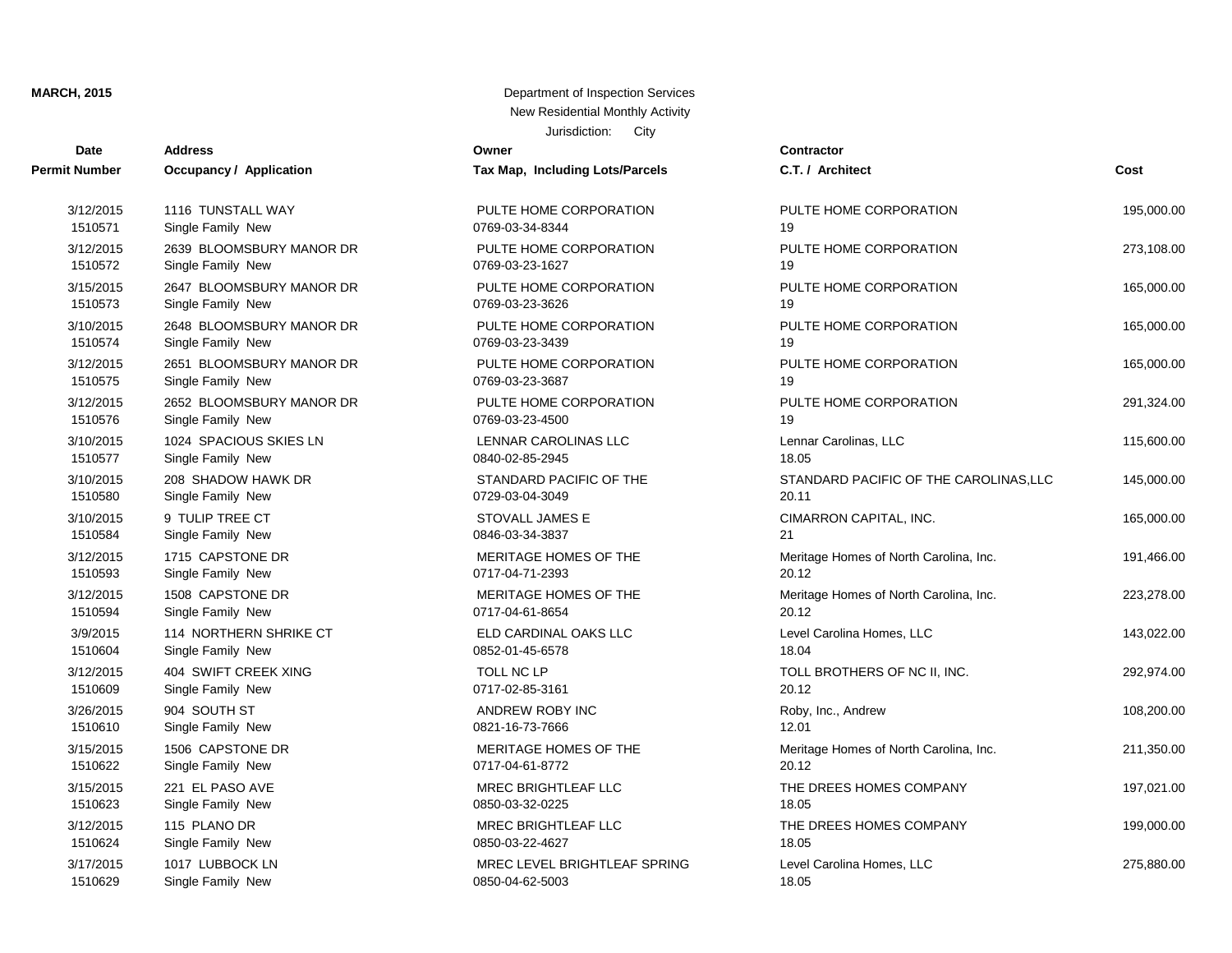| Date          | <b>Address</b>                 | Owner                           | <b>Contractor</b>   |
|---------------|--------------------------------|---------------------------------|---------------------|
| Permit Number | <b>Occupancy / Application</b> | Tax Map, Including Lots/Parcels | C.T. / Architect    |
| 3/12/2015     | 1116 TUNSTALL WAY              | PULTE HOME CORPORATION          | PULTE HOME O        |
| 1510571       | Single Family New              | 0769-03-34-8344                 | 19                  |
| 3/12/2015     | 2639 BLOOMSBURY MANOR DR       | PULTE HOME CORPORATION          | PULTE HOME O        |
| 1510572       | Single Family New              | 0769-03-23-1627                 | 19                  |
| 3/15/2015     | 2647 BLOOMSBURY MANOR DR       | PULTE HOME CORPORATION          | PULTE HOME O        |
| 1510573       | Single Family New              | 0769-03-23-3626                 | 19                  |
| 3/10/2015     | 2648 BLOOMSBURY MANOR DR       | PULTE HOME CORPORATION          | PULTE HOME O        |
| 1510574       | Single Family New              | 0769-03-23-3439                 | 19                  |
| 3/12/2015     | 2651 BLOOMSBURY MANOR DR       | PULTE HOME CORPORATION          | PULTE HOME O        |
| 1510575       | Single Family New              | 0769-03-23-3687                 | 19                  |
| 3/12/2015     | 2652 BLOOMSBURY MANOR DR       | PULTE HOME CORPORATION          | PULTE HOME O        |
| 1510576       | Single Family New              | 0769-03-23-4500                 | 19                  |
| 3/10/2015     | 1024 SPACIOUS SKIES LN         | <b>LENNAR CAROLINAS LLC</b>     | Lennar Carolinas    |
| 1510577       | Single Family New              | 0840-02-85-2945                 | 18.05               |
| 3/10/2015     | 208 SHADOW HAWK DR             | STANDARD PACIFIC OF THE         | <b>STANDARD PA</b>  |
| 1510580       | Single Family New              | 0729-03-04-3049                 | 20.11               |
| 3/10/2015     | 9 TULIP TREE CT                | <b>STOVALL JAMES E</b>          | <b>CIMARRON CA</b>  |
| 1510584       | Single Family New              | 0846-03-34-3837                 | 21                  |
| 3/12/2015     | 1715 CAPSTONE DR               | MERITAGE HOMES OF THE           | Meritage Homes      |
| 1510593       | Single Family New              | 0717-04-71-2393                 | 20.12               |
| 3/12/2015     | 1508 CAPSTONE DR               | MERITAGE HOMES OF THE           | Meritage Homes      |
| 1510594       | Single Family New              | 0717-04-61-8654                 | 20.12               |
| 3/9/2015      | 114 NORTHERN SHRIKE CT         | ELD CARDINAL OAKS LLC           | Level Carolina H    |
| 1510604       | Single Family New              | 0852-01-45-6578                 | 18.04               |
| 3/12/2015     | 404 SWIFT CREEK XING           | TOLL NC LP                      | <b>TOLL BROTHER</b> |
| 1510609       | Single Family New              | 0717-02-85-3161                 | 20.12               |
| 3/26/2015     | 904 SOUTH ST                   | ANDREW ROBY INC                 | Roby, Inc., Andr    |
| 1510610       | Single Family New              | 0821-16-73-7666                 | 12.01               |
| 3/15/2015     | 1506 CAPSTONE DR               | MERITAGE HOMES OF THE           | Meritage Homes      |
| 1510622       | Single Family New              | 0717-04-61-8772                 | 20.12               |
| 3/15/2015     | 221 EL PASO AVE                | MREC BRIGHTLEAF LLC             | THE DREES HO        |
| 1510623       | Single Family New              | 0850-03-32-0225                 | 18.05               |
| 3/12/2015     | 115 PLANO DR                   | MREC BRIGHTLEAF LLC             | THE DREES HO        |
| 1510624       | Single Family New              | 0850-03-22-4627                 | 18.05               |
| 3/17/2015     | 1017 LUBBOCK LN                | MREC LEVEL BRIGHTLEAF SPRING    | Level Carolina H    |
| 1510629       | Single Family New              | 0850-04-62-5003                 | 18.05               |

| x Map, Including Lots/Parcels                       |
|-----------------------------------------------------|
| ULTE HOME CORPORATION<br>69-03-34-8344              |
| ULTE HOME CORPORATION<br>69-03-23-1627              |
| ULTE HOME CORPORATION<br>69-03-23-3626              |
| ULTE HOME CORPORATION<br>69-03-23-3439              |
| ULTE HOME CORPORATION<br>69-03-23-3687              |
| ULTE HOME CORPORATION<br>69-03-23-4500              |
| ENNAR CAROLINAS LLC<br>40-02-85-2945                |
| TANDARD PACIFIC OF THE<br>29-03-04-3049             |
| TOVALL JAMES E<br>46-03-34-3837                     |
| <b>ERITAGE HOMES OF THE</b><br>17-04-71-2393        |
| ERITAGE HOMES OF THE<br>17-04-61-8654               |
| LD CARDINAL OAKS LLC<br>52-01-45-6578               |
| OLL NC LP<br>17-02-85-3161                          |
| NDREW ROBY INC<br>21-16-73-7666                     |
| ERITAGE HOMES OF THE<br>17-04-61-8772               |
| <b>REC BRIGHTLEAF LLC</b><br>50-03-32-0225          |
| <b>REC BRIGHTLEAF LLC</b><br>50-03-22-4627          |
| <b>REC LEVEL BRIGHTLEAF SPRING</b><br>50-04-62-5003 |

| t Number  | Occupancy / Application  | Tax Map, Including Lots/Parcels | C.T. / Architect                       | Cost       |
|-----------|--------------------------|---------------------------------|----------------------------------------|------------|
| 3/12/2015 | 1116 TUNSTALL WAY        | PULTE HOME CORPORATION          | PULTE HOME CORPORATION                 | 195,000.00 |
| 1510571   | Single Family New        | 0769-03-34-8344                 | 19                                     |            |
| 3/12/2015 | 2639 BLOOMSBURY MANOR DR | PULTE HOME CORPORATION          | PULTE HOME CORPORATION                 | 273,108.00 |
| 1510572   | Single Family New        | 0769-03-23-1627                 | 19                                     |            |
| 3/15/2015 | 2647 BLOOMSBURY MANOR DR | PULTE HOME CORPORATION          | PULTE HOME CORPORATION                 | 165,000.00 |
| 1510573   | Single Family New        | 0769-03-23-3626                 | 19                                     |            |
| 3/10/2015 | 2648 BLOOMSBURY MANOR DR | PULTE HOME CORPORATION          | PULTE HOME CORPORATION                 | 165,000.00 |
| 1510574   | Single Family New        | 0769-03-23-3439                 | 19                                     |            |
| 3/12/2015 | 2651 BLOOMSBURY MANOR DR | PULTE HOME CORPORATION          | PULTE HOME CORPORATION                 | 165,000.00 |
| 1510575   | Single Family New        | 0769-03-23-3687                 | 19                                     |            |
| 3/12/2015 | 2652 BLOOMSBURY MANOR DR | PULTE HOME CORPORATION          | PULTE HOME CORPORATION                 | 291,324.00 |
| 1510576   | Single Family New        | 0769-03-23-4500                 | 19                                     |            |
| 3/10/2015 | 1024 SPACIOUS SKIES LN   | LENNAR CAROLINAS LLC            | Lennar Carolinas, LLC                  | 115,600.00 |
| 1510577   | Single Family New        | 0840-02-85-2945                 | 18.05                                  |            |
| 3/10/2015 | 208 SHADOW HAWK DR       | STANDARD PACIFIC OF THE         | STANDARD PACIFIC OF THE CAROLINAS, LLC | 145,000.00 |
| 1510580   | Single Family New        | 0729-03-04-3049                 | 20.11                                  |            |
| 3/10/2015 | 9 TULIP TREE CT          | STOVALL JAMES E                 | CIMARRON CAPITAL, INC.                 | 165,000.00 |
| 1510584   | Single Family New        | 0846-03-34-3837                 | 21                                     |            |
| 3/12/2015 | 1715 CAPSTONE DR         | MERITAGE HOMES OF THE           | Meritage Homes of North Carolina, Inc. | 191,466.00 |
| 1510593   | Single Family New        | 0717-04-71-2393                 | 20.12                                  |            |
| 3/12/2015 | 1508 CAPSTONE DR         | MERITAGE HOMES OF THE           | Meritage Homes of North Carolina, Inc. | 223,278.00 |
| 1510594   | Single Family New        | 0717-04-61-8654                 | 20.12                                  |            |
| 3/9/2015  | 114 NORTHERN SHRIKE CT   | ELD CARDINAL OAKS LLC           | Level Carolina Homes, LLC              | 143,022.00 |
| 1510604   | Single Family New        | 0852-01-45-6578                 | 18.04                                  |            |
| 3/12/2015 | 404 SWIFT CREEK XING     | <b>TOLL NC LP</b>               | TOLL BROTHERS OF NC II, INC.           | 292,974.00 |
| 1510609   | Single Family New        | 0717-02-85-3161                 | 20.12                                  |            |
| 3/26/2015 | 904 SOUTH ST             | ANDREW ROBY INC                 | Roby, Inc., Andrew                     | 108,200.00 |
| 1510610   | Single Family New        | 0821-16-73-7666                 | 12.01                                  |            |
| 3/15/2015 | 1506 CAPSTONE DR         | MERITAGE HOMES OF THE           | Meritage Homes of North Carolina, Inc. | 211,350.00 |
| 1510622   | Single Family New        | 0717-04-61-8772                 | 20.12                                  |            |
| 3/15/2015 | 221 EL PASO AVE          | MREC BRIGHTLEAF LLC             | THE DREES HOMES COMPANY                | 197,021.00 |
| 1510623   | Single Family New        | 0850-03-32-0225                 | 18.05                                  |            |
| 3/12/2015 | 115 PLANO DR             | MREC BRIGHTLEAF LLC             | THE DREES HOMES COMPANY                | 199,000.00 |
| 1510624   | Single Family New        | 0850-03-22-4627                 | 18.05                                  |            |
| 3/17/2015 | 1017 LUBBOCK LN          | MREC LEVEL BRIGHTLEAF SPRING    | Level Carolina Homes, LLC              | 275,880.00 |
| 1510629   | Single Family New        | 0850-04-62-5003                 | 18.05                                  |            |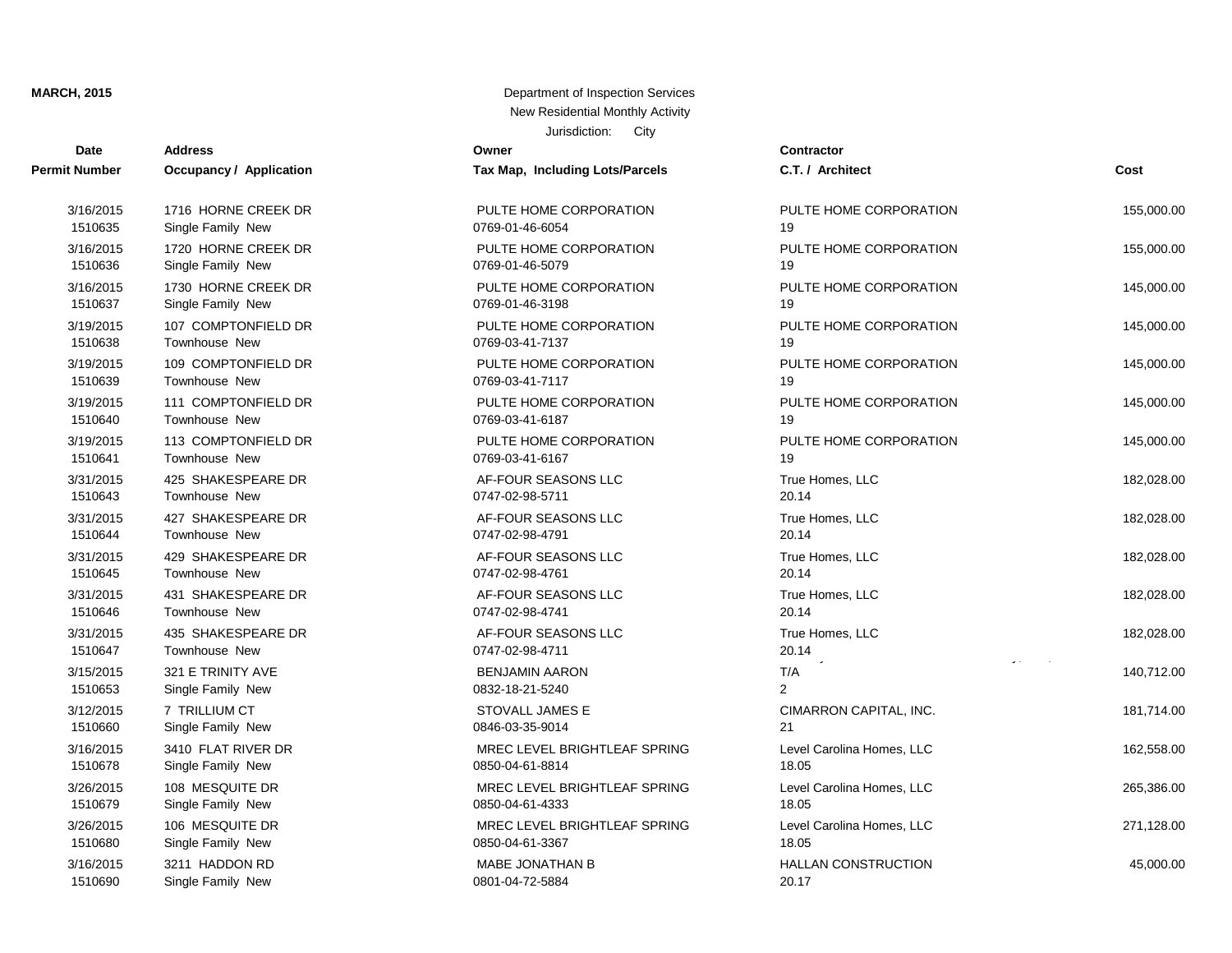| Date                 | <b>Address</b>                 | Owner                           | Contractor      |
|----------------------|--------------------------------|---------------------------------|-----------------|
| <b>Permit Number</b> | <b>Occupancy / Application</b> | Tax Map, Including Lots/Parcels | C.T. / Arch     |
| 3/16/2015            | 1716 HORNE CREEK DR            | PULTE HOME CORPORATION          | PULTE HO        |
| 1510635              | Single Family New              | 0769-01-46-6054                 | 19              |
| 3/16/2015            | 1720 HORNE CREEK DR            | PULTE HOME CORPORATION          | PULTE HO        |
| 1510636              | Single Family New              | 0769-01-46-5079                 | 19              |
| 3/16/2015            | 1730 HORNE CREEK DR            | PULTE HOME CORPORATION          | PULTE HO        |
| 1510637              | Single Family New              | 0769-01-46-3198                 | 19              |
| 3/19/2015            | 107 COMPTONFIELD DR            | PULTE HOME CORPORATION          | PULTE HO        |
| 1510638              | <b>Townhouse New</b>           | 0769-03-41-7137                 | 19              |
| 3/19/2015            | 109 COMPTONFIELD DR            | PULTE HOME CORPORATION          | PULTE HO        |
| 1510639              | Townhouse New                  | 0769-03-41-7117                 | 19              |
| 3/19/2015            | 111 COMPTONFIELD DR            | PULTE HOME CORPORATION          | PULTE HO        |
| 1510640              | <b>Townhouse New</b>           | 0769-03-41-6187                 | 19              |
| 3/19/2015            | 113 COMPTONFIELD DR            | PULTE HOME CORPORATION          | PULTE HO        |
| 1510641              | <b>Townhouse New</b>           | 0769-03-41-6167                 | 19              |
| 3/31/2015            | 425 SHAKESPEARE DR             | AF-FOUR SEASONS LLC             | True Home       |
| 1510643              | <b>Townhouse New</b>           | 0747-02-98-5711                 | 20.14           |
| 3/31/2015            | 427 SHAKESPEARE DR             | AF-FOUR SEASONS LLC             | True Home       |
| 1510644              | <b>Townhouse New</b>           | 0747-02-98-4791                 | 20.14           |
| 3/31/2015            | 429 SHAKESPEARE DR             | AF-FOUR SEASONS LLC             | True Home       |
| 1510645              | Townhouse New                  | 0747-02-98-4761                 | 20.14           |
| 3/31/2015            | 431 SHAKESPEARE DR             | AF-FOUR SEASONS LLC             | True Home       |
| 1510646              | Townhouse New                  | 0747-02-98-4741                 | 20.14           |
| 3/31/2015            | 435 SHAKESPEARE DR             | AF-FOUR SEASONS LLC             | True Home       |
| 1510647              | Townhouse New                  | 0747-02-98-4711                 | 20.14           |
| 3/15/2015            | 321 E TRINITY AVE              | <b>BENJAMIN AARON</b>           | T/A             |
| 1510653              | Single Family New              | 0832-18-21-5240                 | $\overline{2}$  |
| 3/12/2015            | 7 TRILLIUM CT                  | <b>STOVALL JAMES E</b>          | <b>CIMARRON</b> |
| 1510660              | Single Family New              | 0846-03-35-9014                 | 21              |
| 3/16/2015            | 3410 FLAT RIVER DR             | MREC LEVEL BRIGHTLEAF SPRING    | Level Carol     |
| 1510678              | Single Family New              | 0850-04-61-8814                 | 18.05           |
| 3/26/2015            | 108 MESQUITE DR                | MREC LEVEL BRIGHTLEAF SPRING    | Level Carol     |
| 1510679              | Single Family New              | 0850-04-61-4333                 | 18.05           |
| 3/26/2015            | 106 MESQUITE DR                | MREC LEVEL BRIGHTLEAF SPRING    | Level Carol     |
| 1510680              | Single Family New              | 0850-04-61-3367                 | 18.05           |
| 3/16/2015            | 3211 HADDON RD                 | <b>MABE JONATHAN B</b>          | <b>HALLAN C</b> |
| 1510690              | Single Family New              | 0801-04-72-5884                 | 20.17           |

| Dale                 | Auuress                             |                                        | contractor                                    |            |
|----------------------|-------------------------------------|----------------------------------------|-----------------------------------------------|------------|
| t Number             | <b>Occupancy / Application</b>      | Tax Map, Including Lots/Parcels        | C.T. / Architect                              | Cost       |
| 3/16/2015            | 1716 HORNE CREEK DR                 | PULTE HOME CORPORATION                 | PULTE HOME CORPORATION                        | 155,000.00 |
| 1510635              | Single Family New                   | 0769-01-46-6054                        | 19                                            |            |
| 3/16/2015            | 1720 HORNE CREEK DR                 | PULTE HOME CORPORATION                 | PULTE HOME CORPORATION                        | 155,000.00 |
| 1510636              | Single Family New                   | 0769-01-46-5079                        | 19                                            |            |
| 3/16/2015            | 1730 HORNE CREEK DR                 | PULTE HOME CORPORATION                 | PULTE HOME CORPORATION                        | 145,000.00 |
| 1510637              | Single Family New                   | 0769-01-46-3198                        | 19                                            |            |
| 3/19/2015            | 107 COMPTONFIELD DR                 | PULTE HOME CORPORATION                 | PULTE HOME CORPORATION                        | 145,000.00 |
| 1510638              | <b>Townhouse New</b>                | 0769-03-41-7137                        | 19                                            |            |
| 3/19/2015            | 109 COMPTONFIELD DR                 | PULTE HOME CORPORATION                 | PULTE HOME CORPORATION                        | 145,000.00 |
| 1510639              | Townhouse New                       | 0769-03-41-7117                        | 19                                            |            |
| 3/19/2015            | 111 COMPTONFIELD DR                 | PULTE HOME CORPORATION                 | PULTE HOME CORPORATION                        | 145,000.00 |
| 1510640              | Townhouse New                       | 0769-03-41-6187                        | 19                                            |            |
| 3/19/2015            | 113 COMPTONFIELD DR                 | PULTE HOME CORPORATION                 | PULTE HOME CORPORATION                        | 145,000.00 |
| 1510641              | <b>Townhouse New</b>                | 0769-03-41-6167                        | 19                                            |            |
| 3/31/2015            | 425 SHAKESPEARE DR                  | AF-FOUR SEASONS LLC                    | True Homes, LLC                               | 182,028.00 |
| 1510643              | <b>Townhouse New</b>                | 0747-02-98-5711                        | 20.14                                         |            |
| 3/31/2015            | 427 SHAKESPEARE DR                  | AF-FOUR SEASONS LLC                    | True Homes, LLC                               | 182,028.00 |
| 1510644              | <b>Townhouse New</b>                | 0747-02-98-4791                        | 20.14                                         |            |
| 3/31/2015            | 429 SHAKESPEARE DR                  | AF-FOUR SEASONS LLC                    | True Homes, LLC                               | 182,028.00 |
| 1510645              | Townhouse New                       | 0747-02-98-4761                        | 20.14                                         |            |
| 3/31/2015            | 431 SHAKESPEARE DR                  | AF-FOUR SEASONS LLC                    | True Homes, LLC                               | 182,028.00 |
| 1510646              | <b>Townhouse New</b>                | 0747-02-98-4741                        | 20.14                                         |            |
| 3/31/2015<br>1510647 | 435 SHAKESPEARE DR<br>Townhouse New | AF-FOUR SEASONS LLC<br>0747-02-98-4711 | True Homes, LLC<br>20.14<br>graduate the con- | 182,028.00 |
| 3/15/2015            | 321 E TRINITY AVE                   | <b>BENJAMIN AARON</b>                  | T/A                                           | 140,712.00 |
| 1510653              | Single Family New                   | 0832-18-21-5240                        | $\overline{2}$                                |            |
| 3/12/2015            | 7 TRILLIUM CT                       | STOVALL JAMES E                        | CIMARRON CAPITAL, INC.                        | 181,714.00 |
| 1510660              | Single Family New                   | 0846-03-35-9014                        | 21                                            |            |
| 3/16/2015            | 3410 FLAT RIVER DR                  | MREC LEVEL BRIGHTLEAF SPRING           | Level Carolina Homes, LLC                     | 162,558.00 |
| 1510678              | Single Family New                   | 0850-04-61-8814                        | 18.05                                         |            |
| 3/26/2015            | 108 MESQUITE DR                     | MREC LEVEL BRIGHTLEAF SPRING           | Level Carolina Homes, LLC                     | 265,386.00 |
| 1510679              | Single Family New                   | 0850-04-61-4333                        | 18.05                                         |            |
| 3/26/2015            | 106 MESQUITE DR                     | MREC LEVEL BRIGHTLEAF SPRING           | Level Carolina Homes, LLC                     | 271,128.00 |
| 1510680              | Single Family New                   | 0850-04-61-3367                        | 18.05                                         |            |
| 3/16/2015            | 3211 HADDON RD                      | MABE JONATHAN B                        | <b>HALLAN CONSTRUCTION</b>                    | 45,000.00  |
| 1510690              | Single Family New                   | 0801-04-72-5884                        | 20.17                                         |            |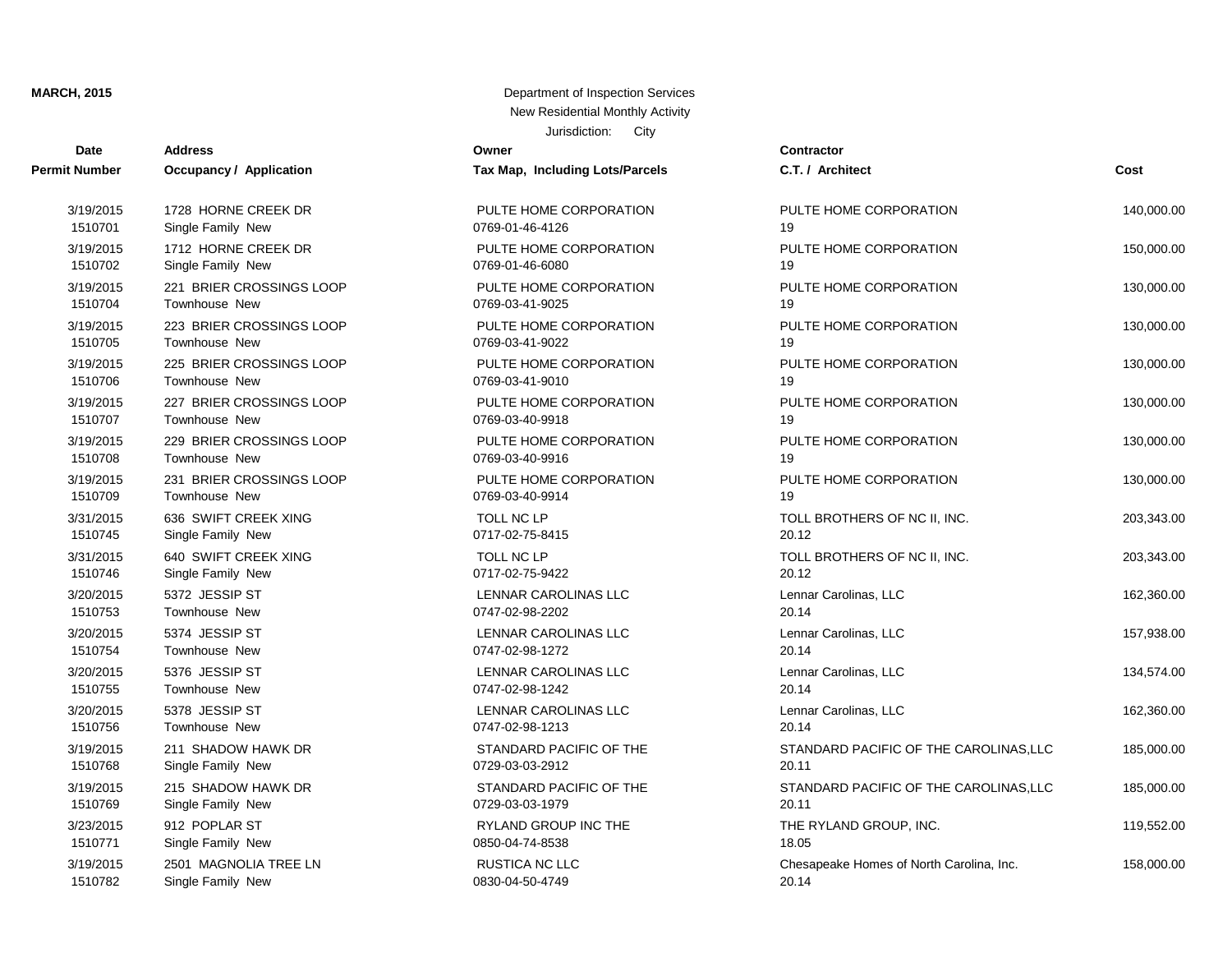| Date          | <b>Address</b>                 | Owner                           | Contractor      |
|---------------|--------------------------------|---------------------------------|-----------------|
| Permit Number | <b>Occupancy / Application</b> | Tax Map, Including Lots/Parcels | C.T. / Arch     |
| 3/19/2015     | 1728 HORNE CREEK DR            | PULTE HOME CORPORATION          | PULTE HO        |
| 1510701       | Single Family New              | 0769-01-46-4126                 | 19              |
| 3/19/2015     | 1712 HORNE CREEK DR            | PULTE HOME CORPORATION          | PULTE HO        |
| 1510702       | Single Family New              | 0769-01-46-6080                 | 19              |
| 3/19/2015     | 221 BRIER CROSSINGS LOOP       | PULTE HOME CORPORATION          | PULTE HO        |
| 1510704       | <b>Townhouse New</b>           | 0769-03-41-9025                 | 19              |
| 3/19/2015     | 223 BRIER CROSSINGS LOOP       | PULTE HOME CORPORATION          | PULTE HO        |
| 1510705       | Townhouse New                  | 0769-03-41-9022                 | 19              |
| 3/19/2015     | 225 BRIER CROSSINGS LOOP       | PULTE HOME CORPORATION          | PULTE HO        |
| 1510706       | Townhouse New                  | 0769-03-41-9010                 | 19              |
| 3/19/2015     | 227 BRIER CROSSINGS LOOP       | PULTE HOME CORPORATION          | PULTE HO        |
| 1510707       | Townhouse New                  | 0769-03-40-9918                 | 19              |
| 3/19/2015     | 229 BRIER CROSSINGS LOOP       | PULTE HOME CORPORATION          | PULTE HO        |
| 1510708       | Townhouse New                  | 0769-03-40-9916                 | 19              |
| 3/19/2015     | 231 BRIER CROSSINGS LOOP       | PULTE HOME CORPORATION          | PULTE HO        |
| 1510709       | Townhouse New                  | 0769-03-40-9914                 | 19              |
| 3/31/2015     | 636 SWIFT CREEK XING           | TOLL NC LP                      | <b>TOLL BRO</b> |
| 1510745       | Single Family New              | 0717-02-75-8415                 | 20.12           |
| 3/31/2015     | 640 SWIFT CREEK XING           | TOLL NC LP                      | <b>TOLL BRO</b> |
| 1510746       | Single Family New              | 0717-02-75-9422                 | 20.12           |
| 3/20/2015     | 5372 JESSIP ST                 | <b>LENNAR CAROLINAS LLC</b>     | Lennar Car      |
| 1510753       | Townhouse New                  | 0747-02-98-2202                 | 20.14           |
| 3/20/2015     | 5374 JESSIP ST                 | LENNAR CAROLINAS LLC            | Lennar Car      |
| 1510754       | Townhouse New                  | 0747-02-98-1272                 | 20.14           |
| 3/20/2015     | 5376 JESSIP ST                 | LENNAR CAROLINAS LLC            | Lennar Car      |
| 1510755       | Townhouse New                  | 0747-02-98-1242                 | 20.14           |
| 3/20/2015     | 5378 JESSIP ST                 | LENNAR CAROLINAS LLC            | Lennar Car      |
| 1510756       | Townhouse New                  | 0747-02-98-1213                 | 20.14           |
| 3/19/2015     | 211 SHADOW HAWK DR             | STANDARD PACIFIC OF THE         | <b>STANDARI</b> |
| 1510768       | Single Family New              | 0729-03-03-2912                 | 20.11           |
| 3/19/2015     | 215 SHADOW HAWK DR             | STANDARD PACIFIC OF THE         | <b>STANDARI</b> |
| 1510769       | Single Family New              | 0729-03-03-1979                 | 20.11           |
| 3/23/2015     | 912 POPLAR ST                  | RYLAND GROUP INC THE            | THE RYLA        |
| 1510771       | Single Family New              | 0850-04-74-8538                 | 18.05           |
| 3/19/2015     | 2501 MAGNOLIA TREE LN          | RUSTICA NC LLC                  | Chesapeak       |
| 1510782       | Single Family New              | 0830-04-50-4749                 | 20.14           |

| t Number  | <b>Occupancy / Application</b> | Tax Map, Including Lots/Parcels | C.T. / Architect                         | Cost       |
|-----------|--------------------------------|---------------------------------|------------------------------------------|------------|
| 3/19/2015 | 1728 HORNE CREEK DR            | PULTE HOME CORPORATION          | PULTE HOME CORPORATION                   | 140,000.00 |
| 1510701   | Single Family New              | 0769-01-46-4126                 | 19                                       |            |
| 3/19/2015 | 1712 HORNE CREEK DR            | PULTE HOME CORPORATION          | PULTE HOME CORPORATION                   | 150,000.00 |
| 1510702   | Single Family New              | 0769-01-46-6080                 | 19                                       |            |
| 3/19/2015 | 221 BRIER CROSSINGS LOOP       | PULTE HOME CORPORATION          | PULTE HOME CORPORATION                   | 130,000.00 |
| 1510704   | Townhouse New                  | 0769-03-41-9025                 | 19                                       |            |
| 3/19/2015 | 223 BRIER CROSSINGS LOOP       | PULTE HOME CORPORATION          | PULTE HOME CORPORATION                   | 130,000.00 |
| 1510705   | Townhouse New                  | 0769-03-41-9022                 | 19                                       |            |
| 3/19/2015 | 225 BRIER CROSSINGS LOOP       | PULTE HOME CORPORATION          | PULTE HOME CORPORATION                   | 130,000.00 |
| 1510706   | Townhouse New                  | 0769-03-41-9010                 | 19                                       |            |
| 3/19/2015 | 227 BRIER CROSSINGS LOOP       | PULTE HOME CORPORATION          | PULTE HOME CORPORATION                   | 130,000.00 |
| 1510707   | Townhouse New                  | 0769-03-40-9918                 | 19                                       |            |
| 3/19/2015 | 229 BRIER CROSSINGS LOOP       | PULTE HOME CORPORATION          | PULTE HOME CORPORATION                   | 130,000.00 |
| 1510708   | Townhouse New                  | 0769-03-40-9916                 | 19                                       |            |
| 3/19/2015 | 231 BRIER CROSSINGS LOOP       | PULTE HOME CORPORATION          | PULTE HOME CORPORATION                   | 130,000.00 |
| 1510709   | Townhouse New                  | 0769-03-40-9914                 | 19                                       |            |
| 3/31/2015 | 636 SWIFT CREEK XING           | TOLL NC LP                      | TOLL BROTHERS OF NC II, INC.             | 203,343.00 |
| 1510745   | Single Family New              | 0717-02-75-8415                 | 20.12                                    |            |
| 3/31/2015 | 640 SWIFT CREEK XING           | TOLL NC LP                      | TOLL BROTHERS OF NC II, INC.             | 203,343.00 |
| 1510746   | Single Family New              | 0717-02-75-9422                 | 20.12                                    |            |
| 3/20/2015 | 5372 JESSIP ST                 | LENNAR CAROLINAS LLC            | Lennar Carolinas, LLC                    | 162,360.00 |
| 1510753   | Townhouse New                  | 0747-02-98-2202                 | 20.14                                    |            |
| 3/20/2015 | 5374 JESSIP ST                 | LENNAR CAROLINAS LLC            | Lennar Carolinas, LLC                    | 157,938.00 |
| 1510754   | Townhouse New                  | 0747-02-98-1272                 | 20.14                                    |            |
| 3/20/2015 | 5376 JESSIP ST                 | LENNAR CAROLINAS LLC            | Lennar Carolinas, LLC                    | 134,574.00 |
| 1510755   | Townhouse New                  | 0747-02-98-1242                 | 20.14                                    |            |
| 3/20/2015 | 5378 JESSIP ST                 | LENNAR CAROLINAS LLC            | Lennar Carolinas, LLC                    | 162,360.00 |
| 1510756   | Townhouse New                  | 0747-02-98-1213                 | 20.14                                    |            |
| 3/19/2015 | 211 SHADOW HAWK DR             | STANDARD PACIFIC OF THE         | STANDARD PACIFIC OF THE CAROLINAS, LLC   | 185,000.00 |
| 1510768   | Single Family New              | 0729-03-03-2912                 | 20.11                                    |            |
| 3/19/2015 | 215 SHADOW HAWK DR             | STANDARD PACIFIC OF THE         | STANDARD PACIFIC OF THE CAROLINAS, LLC   | 185,000.00 |
| 1510769   | Single Family New              | 0729-03-03-1979                 | 20.11                                    |            |
| 3/23/2015 | 912 POPLAR ST                  | RYLAND GROUP INC THE            | THE RYLAND GROUP, INC.                   | 119,552.00 |
| 1510771   | Single Family New              | 0850-04-74-8538                 | 18.05                                    |            |
| 3/19/2015 | 2501 MAGNOLIA TREE LN          | <b>RUSTICA NC LLC</b>           | Chesapeake Homes of North Carolina, Inc. | 158,000.00 |
| 1510782   | Single Family New              | 0830-04-50-4749                 | 20.14                                    |            |